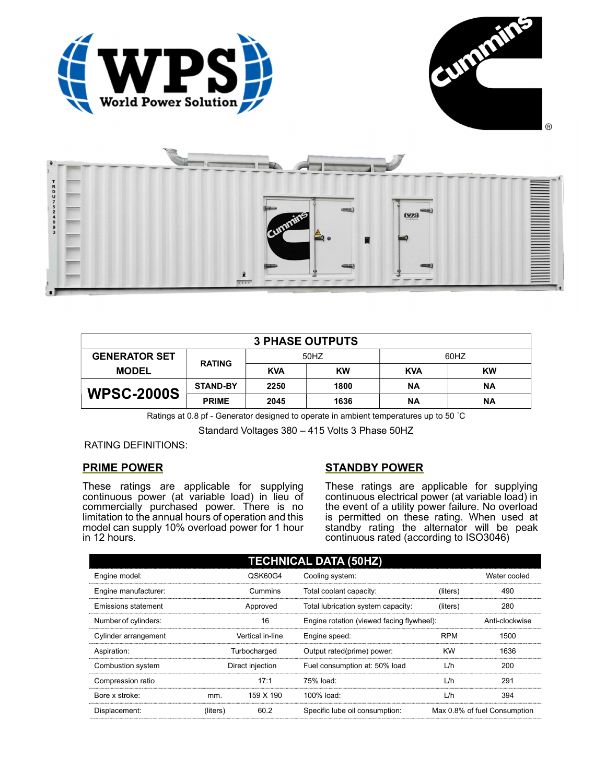





| <b>3 PHASE OUTPUTS</b> |                 |            |           |            |           |  |
|------------------------|-----------------|------------|-----------|------------|-----------|--|
| <b>GENERATOR SET</b>   | <b>RATING</b>   | 50HZ       |           | 60HZ       |           |  |
| <b>MODEL</b>           |                 | <b>KVA</b> | <b>KW</b> | <b>KVA</b> | <b>KW</b> |  |
| <b>WPSC-2000S</b>      | <b>STAND-BY</b> | 2250       | 1800      | <b>NA</b>  | <b>NA</b> |  |
|                        | <b>PRIME</b>    | 2045       | 1636      | ΝA         | ΝA        |  |

Ratings at 0.8 pf - Generator designed to operate in ambient temperatures up to 50 °C

Standard Voltages 380 – 415 Volts 3 Phase 50HZ

RATING DEFINITIONS:

## PRIME POWER

These ratings are applicable for supplying continuous power (at variable load) in lieu of commercially purchased power. There is no limitation to the annual hours of operation and this model can supply 10% overload power for 1 hour in 12 hours.

# STANDBY POWER

These ratings are applicable for supplying continuous electrical power (at variable load) in the event of a utility power failure. No overload is permitted on these rating. When used at standby rating the alternator will be peak continuous rated (according to ISO3046)

| <b>TECHNICAL DATA (50HZ)</b> |                  |           |                                           |              |                              |  |
|------------------------------|------------------|-----------|-------------------------------------------|--------------|------------------------------|--|
| Engine model:                | QSK60G4          |           | Cooling system:                           | Water cooled |                              |  |
| Engine manufacturer:         | Cummins          |           | Total coolant capacity:                   | (liters)     | 490                          |  |
| Emissions statement          | Approved         |           | Total lubrication system capacity:        | (liters)     | 280                          |  |
| Number of cylinders:         | 16               |           | Engine rotation (viewed facing flywheel): |              | Anti-clockwise               |  |
| Cylinder arrangement         | Vertical in-line |           | Engine speed:                             | <b>RPM</b>   | 1500                         |  |
| Aspiration:                  | Turbocharged     |           | Output rated(prime) power:                | <b>KW</b>    | 1636                         |  |
| Combustion system            | Direct injection |           | Fuel consumption at: 50% load             | L/h          | 200                          |  |
| Compression ratio            |                  | 17:1      | 75% load:                                 | L/h          | 291                          |  |
| Bore x stroke:               | mm.              | 159 X 190 | 100% load:                                | L/h          | 394                          |  |
| Displacement:                | (liters)         | 60.2      | Specific lube oil consumption:            |              | Max 0.8% of fuel Consumption |  |